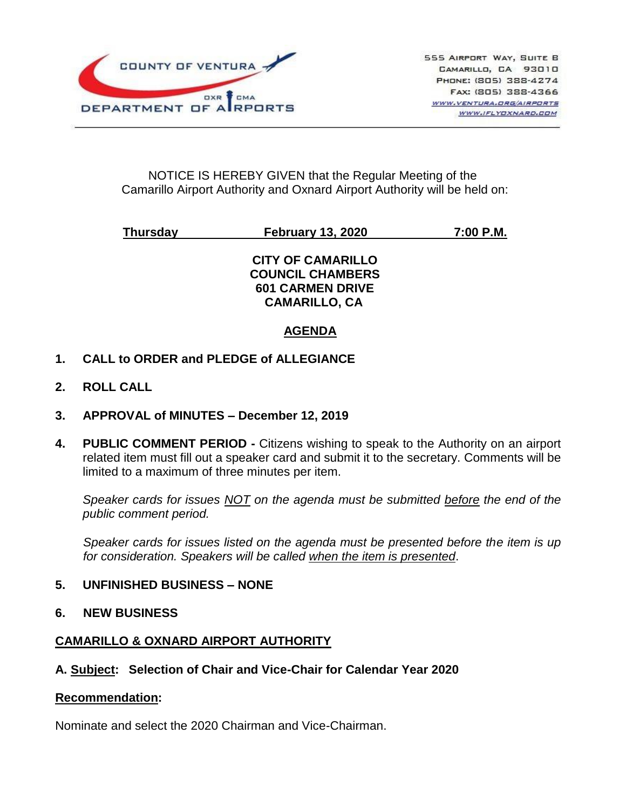

### NOTICE IS HEREBY GIVEN that the Regular Meeting of the Camarillo Airport Authority and Oxnard Airport Authority will be held on:

# **Thursday February 13, 2020 7:00 P.M.**

**CITY OF CAMARILLO COUNCIL CHAMBERS 601 CARMEN DRIVE CAMARILLO, CA**

### **AGENDA**

- **1. CALL to ORDER and PLEDGE of ALLEGIANCE**
- **2. ROLL CALL**
- **3. APPROVAL of MINUTES – December 12, 2019**
- **4. PUBLIC COMMENT PERIOD -** Citizens wishing to speak to the Authority on an airport related item must fill out a speaker card and submit it to the secretary. Comments will be limited to a maximum of three minutes per item.

*Speaker cards for issues NOT on the agenda must be submitted before the end of the public comment period.*

*Speaker cards for issues listed on the agenda must be presented before the item is up for consideration. Speakers will be called when the item is presented*.

#### **5. UNFINISHED BUSINESS – NONE**

**6. NEW BUSINESS** 

#### **CAMARILLO & OXNARD AIRPORT AUTHORITY**

#### **A. Subject: Selection of Chair and Vice-Chair for Calendar Year 2020**

#### **Recommendation:**

Nominate and select the 2020 Chairman and Vice-Chairman.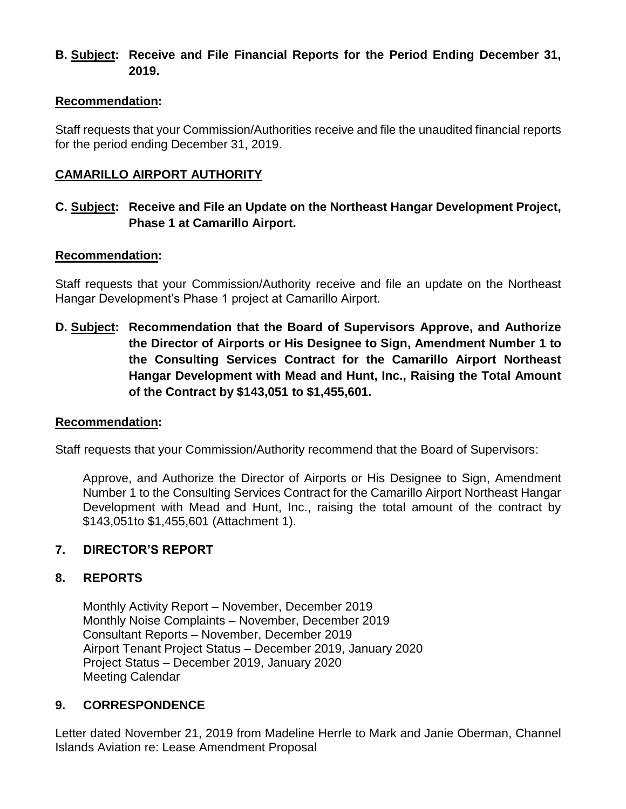## **B. Subject: Receive and File Financial Reports for the Period Ending December 31, 2019.**

#### **Recommendation:**

Staff requests that your Commission/Authorities receive and file the unaudited financial reports for the period ending December 31, 2019.

### **CAMARILLO AIRPORT AUTHORITY**

### **C. Subject: Receive and File an Update on the Northeast Hangar Development Project, Phase 1 at Camarillo Airport.**

#### **Recommendation:**

Staff requests that your Commission/Authority receive and file an update on the Northeast Hangar Development's Phase 1 project at Camarillo Airport.

**D. Subject: Recommendation that the Board of Supervisors Approve, and Authorize the Director of Airports or His Designee to Sign, Amendment Number 1 to the Consulting Services Contract for the Camarillo Airport Northeast Hangar Development with Mead and Hunt, Inc., Raising the Total Amount of the Contract by \$143,051 to \$1,455,601.**

#### **Recommendation:**

Staff requests that your Commission/Authority recommend that the Board of Supervisors:

Approve, and Authorize the Director of Airports or His Designee to Sign, Amendment Number 1 to the Consulting Services Contract for the Camarillo Airport Northeast Hangar Development with Mead and Hunt, Inc., raising the total amount of the contract by \$143,051to \$1,455,601 (Attachment 1).

#### **7. DIRECTOR'S REPORT**

#### **8. REPORTS**

Monthly Activity Report – November, December 2019 Monthly Noise Complaints – November, December 2019 Consultant Reports – November, December 2019 Airport Tenant Project Status – December 2019, January 2020 Project Status – December 2019, January 2020 Meeting Calendar

#### **9. CORRESPONDENCE**

Letter dated November 21, 2019 from Madeline Herrle to Mark and Janie Oberman, Channel Islands Aviation re: Lease Amendment Proposal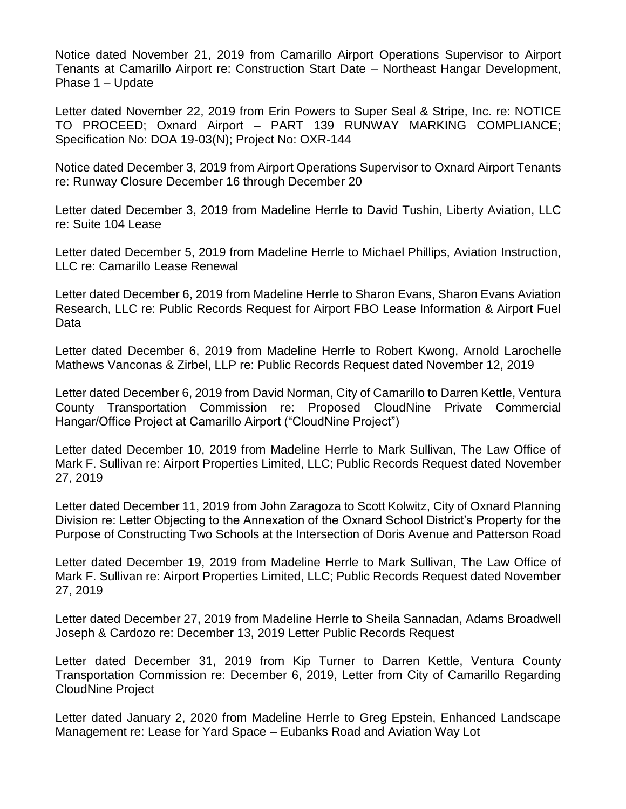Notice dated November 21, 2019 from Camarillo Airport Operations Supervisor to Airport Tenants at Camarillo Airport re: Construction Start Date – Northeast Hangar Development, Phase 1 – Update

Letter dated November 22, 2019 from Erin Powers to Super Seal & Stripe, Inc. re: NOTICE TO PROCEED; Oxnard Airport – PART 139 RUNWAY MARKING COMPLIANCE; Specification No: DOA 19-03(N); Project No: OXR-144

Notice dated December 3, 2019 from Airport Operations Supervisor to Oxnard Airport Tenants re: Runway Closure December 16 through December 20

Letter dated December 3, 2019 from Madeline Herrle to David Tushin, Liberty Aviation, LLC re: Suite 104 Lease

Letter dated December 5, 2019 from Madeline Herrle to Michael Phillips, Aviation Instruction, LLC re: Camarillo Lease Renewal

Letter dated December 6, 2019 from Madeline Herrle to Sharon Evans, Sharon Evans Aviation Research, LLC re: Public Records Request for Airport FBO Lease Information & Airport Fuel Data

Letter dated December 6, 2019 from Madeline Herrle to Robert Kwong, Arnold Larochelle Mathews Vanconas & Zirbel, LLP re: Public Records Request dated November 12, 2019

Letter dated December 6, 2019 from David Norman, City of Camarillo to Darren Kettle, Ventura County Transportation Commission re: Proposed CloudNine Private Commercial Hangar/Office Project at Camarillo Airport ("CloudNine Project")

Letter dated December 10, 2019 from Madeline Herrle to Mark Sullivan, The Law Office of Mark F. Sullivan re: Airport Properties Limited, LLC; Public Records Request dated November 27, 2019

Letter dated December 11, 2019 from John Zaragoza to Scott Kolwitz, City of Oxnard Planning Division re: Letter Objecting to the Annexation of the Oxnard School District's Property for the Purpose of Constructing Two Schools at the Intersection of Doris Avenue and Patterson Road

Letter dated December 19, 2019 from Madeline Herrle to Mark Sullivan, The Law Office of Mark F. Sullivan re: Airport Properties Limited, LLC; Public Records Request dated November 27, 2019

Letter dated December 27, 2019 from Madeline Herrle to Sheila Sannadan, Adams Broadwell Joseph & Cardozo re: December 13, 2019 Letter Public Records Request

Letter dated December 31, 2019 from Kip Turner to Darren Kettle, Ventura County Transportation Commission re: December 6, 2019, Letter from City of Camarillo Regarding CloudNine Project

Letter dated January 2, 2020 from Madeline Herrle to Greg Epstein, Enhanced Landscape Management re: Lease for Yard Space – Eubanks Road and Aviation Way Lot